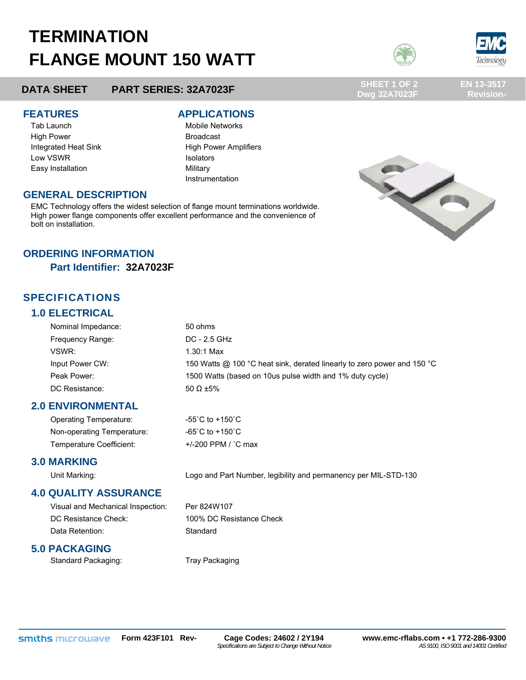# **TERMINATION FLANGE MOUNT 150 WATT**



**Dwg 32A7023F** 



**EN 13-3517 Revision-**

# **DATA SHEET PART SERIES: 32A7023F SHEET 1 OF 2**

Tab Launch **Mobile Networks** Mobile Networks High Power **Broadcast** Low VSWR **ISOLATOM** Isolators Easy Installation **Easy** Installation **Military** 

#### **FEATURES APPLICATIONS**

Integrated Heat Sink High Power Amplifiers Instrumentation



#### **GENERAL DESCRIPTION**

EMC Technology offers the widest selection of flange mount terminations worldwide. High power flange components offer excellent performance and the convenience of bolt on installation.

### **ORDERING INFORMATION**

**Part Identifier: 32A7023F** 

## SPECIFICATIONS

### **1.0 ELECTRICAL**

| Nominal Impedance: | 50 ohms                                                                 |  |
|--------------------|-------------------------------------------------------------------------|--|
| Frequency Range:   | DC - 2.5 GHz                                                            |  |
| VSWR:              | $1.30:1$ Max                                                            |  |
| Input Power CW:    | 150 Watts @ 100 °C heat sink, derated linearly to zero power and 150 °C |  |
| Peak Power:        | 1500 Watts (based on 10us pulse width and 1% duty cycle)                |  |
| DC Resistance:     | 50 $\Omega$ ±5%                                                         |  |

#### **2.0 ENVIRONMENTAL**

Operating Temperature: -55°C to +150°C Non-operating Temperature: -65°C to +150°C Temperature Coefficient: +/-200 PPM / °C max

#### **3.0 MARKING**

Unit Marking: Logo and Part Number, legibility and permanency per MIL-STD-130

#### **4.0 QUALITY ASSURANCE**

Visual and Mechanical Inspection: Per 824W107 DC Resistance Check: 100% DC Resistance Check Data Retention: Standard

### **5.0 PACKAGING**

Standard Packaging: Tray Packaging